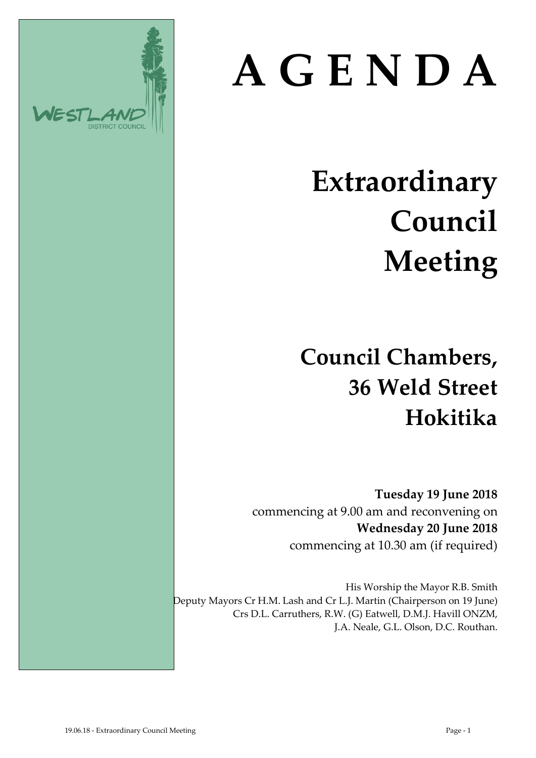# DISTRICT CO

## **A G E N D A**

### **Extraordinary Council Meeting**

**Council Chambers, 36 Weld Street Hokitika**

**Tuesday 19 June 2018** commencing at 9.00 am and reconvening on **Wednesday 20 June 2018** commencing at 10.30 am (if required)

His Worship the Mayor R.B. Smith Deputy Mayors Cr H.M. Lash and Cr L.J. Martin (Chairperson on 19 June) Crs D.L. Carruthers, R.W. (G) Eatwell, D.M.J. Havill ONZM, J.A. Neale, G.L. Olson, D.C. Routhan.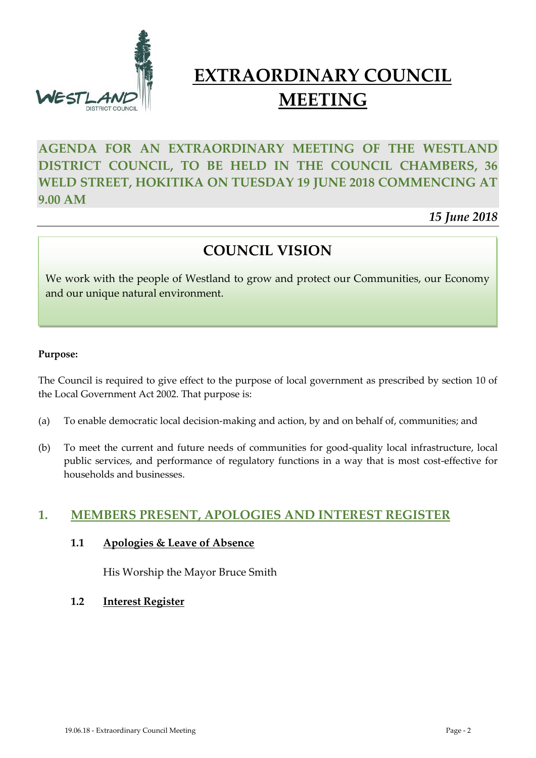

#### **EXTRAORDINARY COUNCIL MEETING**

#### **AGENDA FOR AN EXTRAORDINARY MEETING OF THE WESTLAND DISTRICT COUNCIL, TO BE HELD IN THE COUNCIL CHAMBERS, 36 WELD STREET, HOKITIKA ON TUESDAY 19 JUNE 2018 COMMENCING AT 9.00 AM**

*15 June 2018*

#### **COUNCIL VISION**

We work with the people of Westland to grow and protect our Communities, our Economy and our unique natural environment.

#### **Purpose:**

The Council is required to give effect to the purpose of local government as prescribed by section 10 of the Local Government Act 2002. That purpose is:

- (a) To enable democratic local decision-making and action, by and on behalf of, communities; and
- (b) To meet the current and future needs of communities for good-quality local infrastructure, local public services, and performance of regulatory functions in a way that is most cost-effective for households and businesses.

#### **1. MEMBERS PRESENT, APOLOGIES AND INTEREST REGISTER**

#### **1.1 Apologies & Leave of Absence**

His Worship the Mayor Bruce Smith

**1.2 Interest Register**